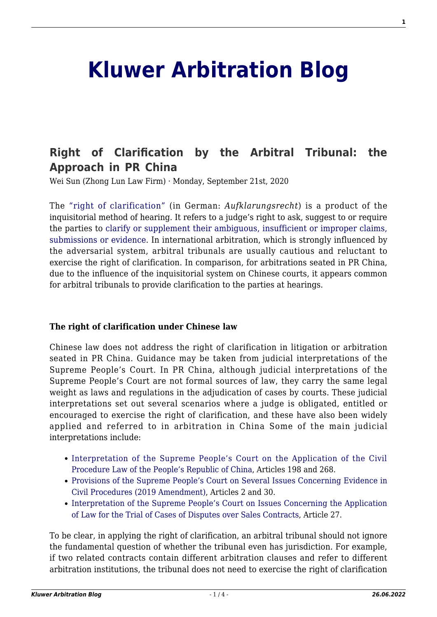# **[Kluwer Arbitration Blog](http://arbitrationblog.kluwerarbitration.com/)**

# **[Right of Clarification by the Arbitral Tribunal: the](http://arbitrationblog.kluwerarbitration.com/2020/09/21/right-of-clarification-by-the-arbitral-tribunal-the-approach-in-pr-china/) [Approach in PR China](http://arbitrationblog.kluwerarbitration.com/2020/09/21/right-of-clarification-by-the-arbitral-tribunal-the-approach-in-pr-china/)**

Wei Sun (Zhong Lun Law Firm) · Monday, September 21st, 2020

The ["right of clarification"](http://old.civillaw.com.cn/article/default.asp?id=50286) (in German: *Aufklarungsrecht*) is a product of the inquisitorial method of hearing. It refers to a judge's right to ask, suggest to or require the parties to [clarify or supplement their ambiguous, insufficient or improper claims,](https://www.chinacourt.org/article/detail/2018/02/id/3208414.shtml) [submissions or evidence](https://www.chinacourt.org/article/detail/2018/02/id/3208414.shtml). In international arbitration, which is strongly influenced by the adversarial system, arbitral tribunals are usually cautious and reluctant to exercise the right of clarification. In comparison, for arbitrations seated in PR China, due to the influence of the inquisitorial system on Chinese courts, it appears common for arbitral tribunals to provide clarification to the parties at hearings.

#### **The right of clarification under Chinese law**

Chinese law does not address the right of clarification in litigation or arbitration seated in PR China. Guidance may be taken from judicial interpretations of the Supreme People's Court. In PR China, although judicial interpretations of the Supreme People's Court are not formal sources of law, they carry the same legal weight as laws and regulations in the adjudication of cases by courts. These judicial interpretations set out several scenarios where a judge is obligated, entitled or encouraged to exercise the right of clarification, and these have also been widely applied and referred to in arbitration in China Some of the main judicial interpretations include:

- [Interpretation of the Supreme People's Court on the Application of the Civil](https://law.wkinfo.com.cn/legislation/detail/MTAxMDAxMTM1MThfRW4%253D?q=undefined&module=) [Procedure Law of the People's Republic of China,](https://law.wkinfo.com.cn/legislation/detail/MTAxMDAxMTM1MThfRW4%253D?q=undefined&module=) Articles 198 and 268.
- [Provisions of the Supreme People's Court on Several Issues Concerning Evidence in](https://law.wkinfo.com.cn/legislation/detail/MTAwMTIzNTkyMDJfRW4%253D?q=%25E8%25AF%2581%25E6%258D%25AE%25E7%259A%2584%25E8%258B%25A5%25E5%25B9%25B2%25E8%25A7%2584%25E5%25AE%259A&module=&title=%25E6%259C%2580%25E9%25AB%2598%25E4%25BA%25BA%25E6%25B0%2591%25E6%25B3%2595%25E9%2599%25A2%25E5%2585%25B3%25E4%25BA%258E%25E6%25B0%2591%25E4%25BA%258B%25E8%25AF%2589%25E8%25AE%25BC%253Cfont%2520class%253D%2522titleHL%2522%253E%25E8%25AF%2581%25E6%258D%25AE%25E7%259A%2584%25E8%258B%25A5%25E5%25B9%25B2%25E8%25A7%2584%25E5%25AE%259A%253C%252Ffont%253E%25EF%25BC%25882019%25E4%25BF%25AE%25E6%25AD%25A3%25EF%25BC%2589) [Civil Procedures \(2019 Amendment\)](https://law.wkinfo.com.cn/legislation/detail/MTAwMTIzNTkyMDJfRW4%253D?q=%25E8%25AF%2581%25E6%258D%25AE%25E7%259A%2584%25E8%258B%25A5%25E5%25B9%25B2%25E8%25A7%2584%25E5%25AE%259A&module=&title=%25E6%259C%2580%25E9%25AB%2598%25E4%25BA%25BA%25E6%25B0%2591%25E6%25B3%2595%25E9%2599%25A2%25E5%2585%25B3%25E4%25BA%258E%25E6%25B0%2591%25E4%25BA%258B%25E8%25AF%2589%25E8%25AE%25BC%253Cfont%2520class%253D%2522titleHL%2522%253E%25E8%25AF%2581%25E6%258D%25AE%25E7%259A%2584%25E8%258B%25A5%25E5%25B9%25B2%25E8%25A7%2584%25E5%25AE%259A%253C%252Ffont%253E%25EF%25BC%25882019%25E4%25BF%25AE%25E6%25AD%25A3%25EF%25BC%2589), Articles 2 and 30.
- [Interpretation of the Supreme People's Court on Issues Concerning the Application](https://law.wkinfo.com.cn/legislation/detail/MTAxMDAwMTAyNjZfRW4%253D?q=%25E4%25B9%25B0%25E5%258D%2596%25E5%2590%2588%25E5%2590%258C&module=&title=%25E6%259C%2580%25E9%25AB%2598%25E4%25BA%25BA%25E6%25B0%2591%25E6%25B3%2595%25E9%2599%25A2%25E5%2585%25B3%25E4%25BA%258E%25E5%25AE%25A1%25E7%2590%2586%25E4%25B9%25B0%25E5%258D%2596%25E5%2590%2588%25E5%2590%258C%25E7%25BA%25A0%25E7%25BA%25B7%25E6%25A1%2588%25E4%25BB%25B6%25E9%2580%2582%25E7%2594%25A8%25E6%25B3%2595%25E5%25BE%258B%25E9%2597%25AE%25E9%25A2%2598%25E7%259A%2584%25E8%25A7%25A3%25E9%2587%258A) [of Law for the Trial of Cases of Disputes over Sales Contracts](https://law.wkinfo.com.cn/legislation/detail/MTAxMDAwMTAyNjZfRW4%253D?q=%25E4%25B9%25B0%25E5%258D%2596%25E5%2590%2588%25E5%2590%258C&module=&title=%25E6%259C%2580%25E9%25AB%2598%25E4%25BA%25BA%25E6%25B0%2591%25E6%25B3%2595%25E9%2599%25A2%25E5%2585%25B3%25E4%25BA%258E%25E5%25AE%25A1%25E7%2590%2586%25E4%25B9%25B0%25E5%258D%2596%25E5%2590%2588%25E5%2590%258C%25E7%25BA%25A0%25E7%25BA%25B7%25E6%25A1%2588%25E4%25BB%25B6%25E9%2580%2582%25E7%2594%25A8%25E6%25B3%2595%25E5%25BE%258B%25E9%2597%25AE%25E9%25A2%2598%25E7%259A%2584%25E8%25A7%25A3%25E9%2587%258A), Article 27.

To be clear, in applying the right of clarification, an arbitral tribunal should not ignore the fundamental question of whether the tribunal even has jurisdiction. For example, if two related contracts contain different arbitration clauses and refer to different arbitration institutions, the tribunal does not need to exercise the right of clarification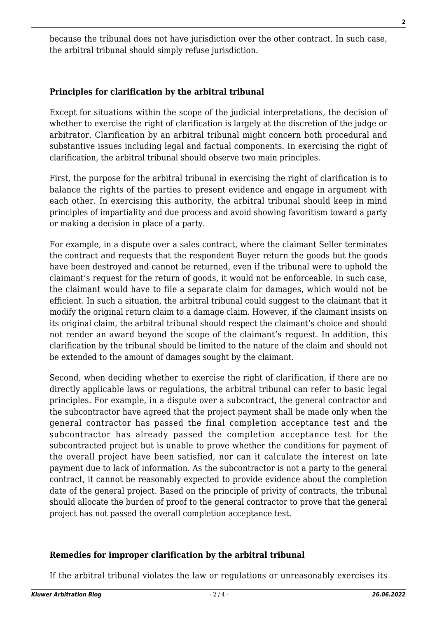because the tribunal does not have jurisdiction over the other contract. In such case, the arbitral tribunal should simply refuse jurisdiction.

# **Principles for clarification by the arbitral tribunal**

Except for situations within the scope of the judicial interpretations, the decision of whether to exercise the right of clarification is largely at the discretion of the judge or arbitrator. Clarification by an arbitral tribunal might concern both procedural and substantive issues including legal and factual components. In exercising the right of clarification, the arbitral tribunal should observe two main principles.

First, the purpose for the arbitral tribunal in exercising the right of clarification is to balance the rights of the parties to present evidence and engage in argument with each other. In exercising this authority, the arbitral tribunal should keep in mind principles of impartiality and due process and avoid showing favoritism toward a party or making a decision in place of a party.

For example, in a dispute over a sales contract, where the claimant Seller terminates the contract and requests that the respondent Buyer return the goods but the goods have been destroyed and cannot be returned, even if the tribunal were to uphold the claimant's request for the return of goods, it would not be enforceable. In such case, the claimant would have to file a separate claim for damages, which would not be efficient. In such a situation, the arbitral tribunal could suggest to the claimant that it modify the original return claim to a damage claim. However, if the claimant insists on its original claim, the arbitral tribunal should respect the claimant's choice and should not render an award beyond the scope of the claimant's request. In addition, this clarification by the tribunal should be limited to the nature of the claim and should not be extended to the amount of damages sought by the claimant.

Second, when deciding whether to exercise the right of clarification, if there are no directly applicable laws or regulations, the arbitral tribunal can refer to basic legal principles. For example, in a dispute over a subcontract, the general contractor and the subcontractor have agreed that the project payment shall be made only when the general contractor has passed the final completion acceptance test and the subcontractor has already passed the completion acceptance test for the subcontracted project but is unable to prove whether the conditions for payment of the overall project have been satisfied, nor can it calculate the interest on late payment due to lack of information. As the subcontractor is not a party to the general contract, it cannot be reasonably expected to provide evidence about the completion date of the general project. Based on the principle of privity of contracts, the tribunal should allocate the burden of proof to the general contractor to prove that the general project has not passed the overall completion acceptance test.

## **Remedies for improper clarification by the arbitral tribunal**

If the arbitral tribunal violates the law or regulations or unreasonably exercises its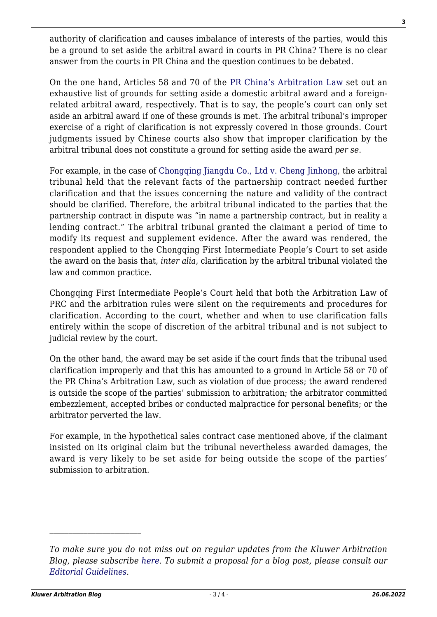authority of clarification and causes imbalance of interests of the parties, would this be a ground to set aside the arbitral award in courts in PR China? There is no clear answer from the courts in PR China and the question continues to be debated.

On the one hand, Articles 58 and 70 of th[e PR China's Arbitration Law](https://law.wkinfo.com.cn/legislation/detail/MTAxMDAxMjUwNDhfRW4%253D?q=%25E4%25BB%25B2%25E8%25A3%2581%25E6%25B3%2595&module=&title=%25E4%25B8%25AD%25E5%258D%258E%25E4%25BA%25BA%25E6%25B0%2591%25E5%2585%25B1%25E5%2592%258C%25E5%259B%25BD%25E4%25BB%25B2%25E8%25A3%2581%25E6%25B3%2595%25EF%25BC%25882017%25E4%25BF%25AE%25E6%25AD%25A3%25EF%25BC%2589) set out an exhaustive list of grounds for setting aside a domestic arbitral award and a foreignrelated arbitral award, respectively. That is to say, the people's court can only set aside an arbitral award if one of these grounds is met. The arbitral tribunal's improper exercise of a right of clarification is not expressly covered in those grounds. Court judgments issued by Chinese courts also show that improper clarification by the arbitral tribunal does not constitute a ground for setting aside the award *per se*.

For example, in the case of [Chongqing Jiangdu Co., Ltd v. Cheng Jinhong,](https://www.itslaw.com/detail?initialization=%257B%2522category%2522%253A%2522CASE%2522%252C%2522id%2522%253A%2522f3760cf3-63c8-4e17-98d1-ca7c4791532d%2522%252C%2522anchor%2522%253Anull%252C%2522detailKeyWords%2522%253A%255B%2522%25EF%25BC%25882018%25EF%25BC%2589%25E6%25B8%259D01%25E6%25B0%2591%25E7%2589%25B9156%25E5%258F%25B7%2522%255D%257D#content_null) the arbitral tribunal held that the relevant facts of the partnership contract needed further clarification and that the issues concerning the nature and validity of the contract should be clarified. Therefore, the arbitral tribunal indicated to the parties that the partnership contract in dispute was "in name a partnership contract, but in reality a lending contract." The arbitral tribunal granted the claimant a period of time to modify its request and supplement evidence. After the award was rendered, the respondent applied to the Chongqing First Intermediate People's Court to set aside the award on the basis that, *inter alia*, clarification by the arbitral tribunal violated the law and common practice.

Chongqing First Intermediate People's Court held that both the Arbitration Law of PRC and the arbitration rules were silent on the requirements and procedures for clarification. According to the court, whether and when to use clarification falls entirely within the scope of discretion of the arbitral tribunal and is not subject to judicial review by the court.

On the other hand, the award may be set aside if the court finds that the tribunal used clarification improperly and that this has amounted to a ground in Article 58 or 70 of the PR China's Arbitration Law, such as violation of due process; the award rendered is outside the scope of the parties' submission to arbitration; the arbitrator committed embezzlement, accepted bribes or conducted malpractice for personal benefits; or the arbitrator perverted the law.

For example, in the hypothetical sales contract case mentioned above, if the claimant insisted on its original claim but the tribunal nevertheless awarded damages, the award is very likely to be set aside for being outside the scope of the parties' submission to arbitration.

*To make sure you do not miss out on regular updates from the Kluwer Arbitration Blog, please subscribe [here](http://arbitrationblog.kluwerarbitration.com/newsletter/). To submit a proposal for a blog post, please consult our [Editorial Guidelines.](http://arbitrationblog.kluwerarbitration.com/editorial-guidelines/)*